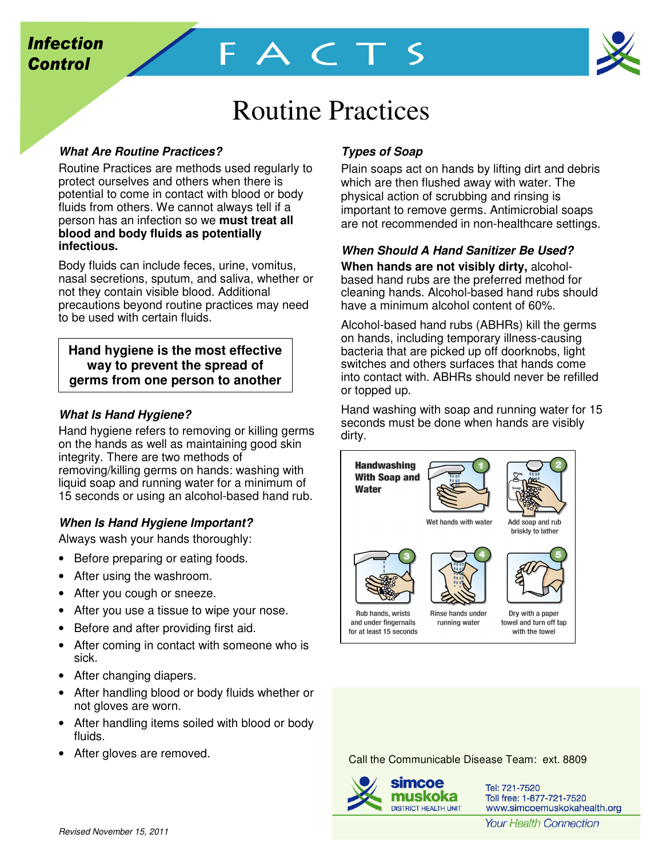

# Routine Practices

FACTS

# **What Are Routine Practices?**

Routine Practices are methods used regularly to protect ourselves and others when there is potential to come in contact with blood or body fluids from others. We cannot always tell if a person has an infection so we **must treat all blood and body fluids as potentially infectious.**

Body fluids can include feces, urine, vomitus, nasal secretions, sputum, and saliva, whether or not they contain visible blood. Additional precautions beyond routine practices may need to be used with certain fluids.

## **Hand hygiene is the most effective way to prevent the spread of germs from one person to another**

## **What Is Hand Hygiene?**

Hand hygiene refers to removing or killing germs on the hands as well as maintaining good skin integrity. There are two methods of removing/killing germs on hands: washing with liquid soap and running water for a minimum of 15 seconds or using an alcohol-based hand rub.

## **When Is Hand Hygiene Important?**

Always wash your hands thoroughly:

- Before preparing or eating foods.
- After using the washroom.
- After you cough or sneeze.
- After you use a tissue to wipe your nose.
- Before and after providing first aid.
- After coming in contact with someone who is sick.
- After changing diapers.
- After handling blood or body fluids whether or not gloves are worn.
- After handling items soiled with blood or body fluids.
- After gloves are removed.

# **Types of Soap**

Plain soaps act on hands by lifting dirt and debris which are then flushed away with water. The physical action of scrubbing and rinsing is important to remove germs. Antimicrobial soaps are not recommended in non-healthcare settings.

## **When Should A Hand Sanitizer Be Used?**

**When hands are not visibly dirty,** alcoholbased hand rubs are the preferred method for cleaning hands. Alcohol-based hand rubs should have a minimum alcohol content of 60%.

Alcohol-based hand rubs (ABHRs) kill the germs on hands, including temporary illness-causing bacteria that are picked up off doorknobs, light switches and others surfaces that hands come into contact with. ABHRs should never be refilled or topped up.

Hand washing with soap and running water for 15 seconds must be done when hands are visibly dirty.



Call the Communicable Disease Team: ext. 8809



Tel: 721-7520 Toll free: 1-877-721-7520 www.simcoemuskokahealth.org

**Your Health Connection**